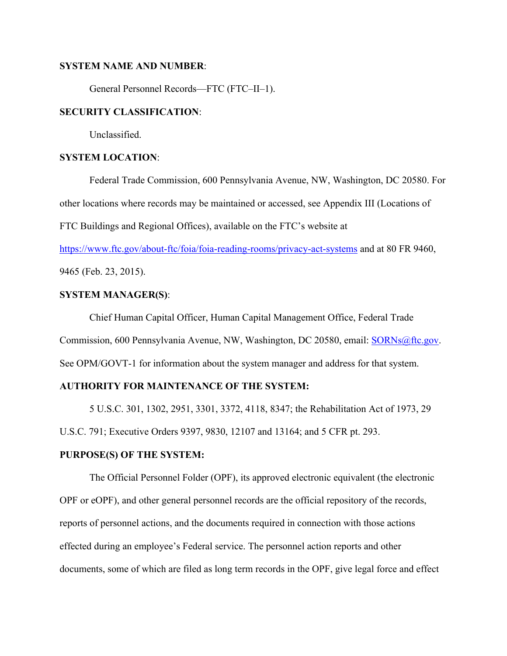#### **SYSTEM NAME AND NUMBER**:

General Personnel Records—FTC (FTC–II–1).

# **SECURITY CLASSIFICATION**:

Unclassified.

#### **SYSTEM LOCATION**:

Federal Trade Commission, 600 Pennsylvania Avenue, NW, Washington, DC 20580. For other locations where records may be maintained or accessed, see Appendix III (Locations of FTC Buildings and Regional Offices), available on the FTC's website at

<https://www.ftc.gov/about-ftc/foia/foia-reading-rooms/privacy-act-systems>and at 80 FR 9460,

9465 (Feb. 23, 2015).

# **SYSTEM MANAGER(S)**:

 See OPM/GOVT-1 for information about the system manager and address for that system. Chief Human Capital Officer, Human Capital Management Office, Federal Trade Commission, 600 Pennsylvania Avenue, NW, Washington, DC 20580, email: [SORNs@ftc.gov](mailto:SORNs@ftc.gov).

# **AUTHORITY FOR MAINTENANCE OF THE SYSTEM:**

5 U.S.C. 301, 1302, 2951, 3301, 3372, 4118, 8347; the Rehabilitation Act of 1973, 29 U.S.C. 791; Executive Orders 9397, 9830, 12107 and 13164; and 5 CFR pt. 293.

## **PURPOSE(S) OF THE SYSTEM:**

The Official Personnel Folder (OPF), its approved electronic equivalent (the electronic OPF or eOPF), and other general personnel records are the official repository of the records, reports of personnel actions, and the documents required in connection with those actions effected during an employee's Federal service. The personnel action reports and other documents, some of which are filed as long term records in the OPF, give legal force and effect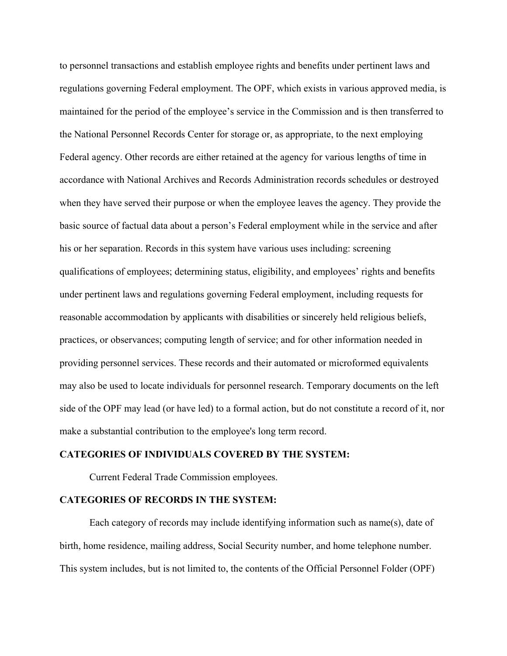to personnel transactions and establish employee rights and benefits under pertinent laws and regulations governing Federal employment. The OPF, which exists in various approved media, is maintained for the period of the employee's service in the Commission and is then transferred to the National Personnel Records Center for storage or, as appropriate, to the next employing Federal agency. Other records are either retained at the agency for various lengths of time in accordance with National Archives and Records Administration records schedules or destroyed when they have served their purpose or when the employee leaves the agency. They provide the basic source of factual data about a person's Federal employment while in the service and after his or her separation. Records in this system have various uses including: screening qualifications of employees; determining status, eligibility, and employees' rights and benefits under pertinent laws and regulations governing Federal employment, including requests for reasonable accommodation by applicants with disabilities or sincerely held religious beliefs, practices, or observances; computing length of service; and for other information needed in providing personnel services. These records and their automated or microformed equivalents may also be used to locate individuals for personnel research. Temporary documents on the left side of the OPF may lead (or have led) to a formal action, but do not constitute a record of it, nor make a substantial contribution to the employee's long term record.

#### **CATEGORIES OF INDIVIDUALS COVERED BY THE SYSTEM:**

Current Federal Trade Commission employees.

#### **CATEGORIES OF RECORDS IN THE SYSTEM:**

Each category of records may include identifying information such as name(s), date of birth, home residence, mailing address, Social Security number, and home telephone number. This system includes, but is not limited to, the contents of the Official Personnel Folder (OPF)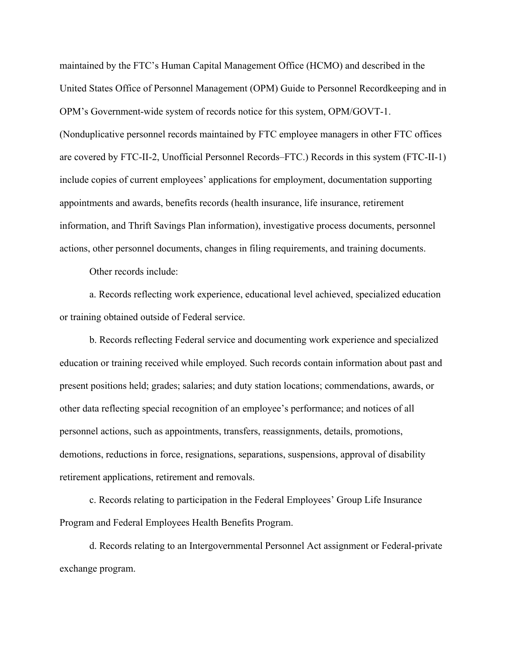maintained by the FTC's Human Capital Management Office (HCMO) and described in the United States Office of Personnel Management (OPM) Guide to Personnel Recordkeeping and in OPM's Government-wide system of records notice for this system, OPM/GOVT-1. (Nonduplicative personnel records maintained by FTC employee managers in other FTC offices are covered by FTC-II-2, Unofficial Personnel Records–FTC.) Records in this system (FTC-II-1) include copies of current employees' applications for employment, documentation supporting appointments and awards, benefits records (health insurance, life insurance, retirement information, and Thrift Savings Plan information), investigative process documents, personnel actions, other personnel documents, changes in filing requirements, and training documents.

Other records include:

a. Records reflecting work experience, educational level achieved, specialized education or training obtained outside of Federal service.

b. Records reflecting Federal service and documenting work experience and specialized education or training received while employed. Such records contain information about past and present positions held; grades; salaries; and duty station locations; commendations, awards, or other data reflecting special recognition of an employee's performance; and notices of all personnel actions, such as appointments, transfers, reassignments, details, promotions, demotions, reductions in force, resignations, separations, suspensions, approval of disability retirement applications, retirement and removals.

c. Records relating to participation in the Federal Employees' Group Life Insurance Program and Federal Employees Health Benefits Program.

d. Records relating to an Intergovernmental Personnel Act assignment or Federal-private exchange program.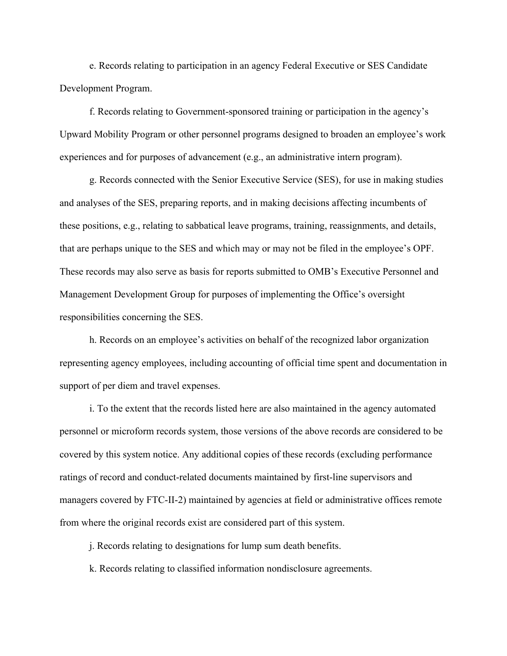e. Records relating to participation in an agency Federal Executive or SES Candidate Development Program.

f. Records relating to Government-sponsored training or participation in the agency's Upward Mobility Program or other personnel programs designed to broaden an employee's work experiences and for purposes of advancement (e.g., an administrative intern program).

g. Records connected with the Senior Executive Service (SES), for use in making studies and analyses of the SES, preparing reports, and in making decisions affecting incumbents of these positions, e.g., relating to sabbatical leave programs, training, reassignments, and details, that are perhaps unique to the SES and which may or may not be filed in the employee's OPF. These records may also serve as basis for reports submitted to OMB's Executive Personnel and Management Development Group for purposes of implementing the Office's oversight responsibilities concerning the SES.

h. Records on an employee's activities on behalf of the recognized labor organization representing agency employees, including accounting of official time spent and documentation in support of per diem and travel expenses.

i. To the extent that the records listed here are also maintained in the agency automated personnel or microform records system, those versions of the above records are considered to be covered by this system notice. Any additional copies of these records (excluding performance ratings of record and conduct-related documents maintained by first-line supervisors and managers covered by FTC-II-2) maintained by agencies at field or administrative offices remote from where the original records exist are considered part of this system.

j. Records relating to designations for lump sum death benefits.

k. Records relating to classified information nondisclosure agreements.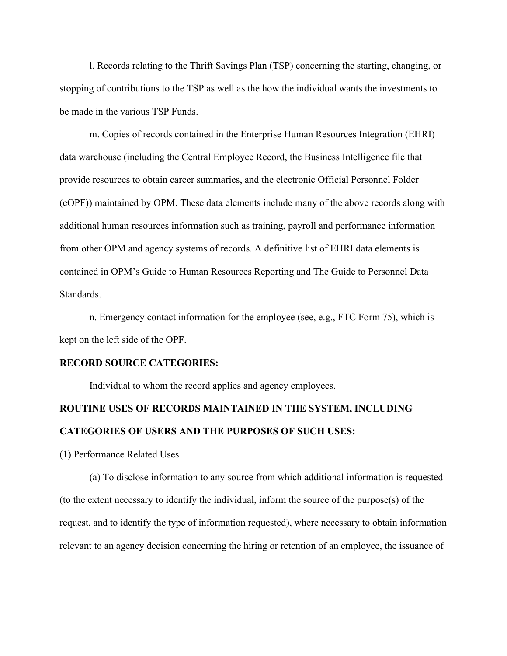l. Records relating to the Thrift Savings Plan (TSP) concerning the starting, changing, or stopping of contributions to the TSP as well as the how the individual wants the investments to be made in the various TSP Funds.

m. Copies of records contained in the Enterprise Human Resources Integration (EHRI) data warehouse (including the Central Employee Record, the Business Intelligence file that provide resources to obtain career summaries, and the electronic Official Personnel Folder (eOPF)) maintained by OPM. These data elements include many of the above records along with additional human resources information such as training, payroll and performance information from other OPM and agency systems of records. A definitive list of EHRI data elements is contained in OPM's Guide to Human Resources Reporting and The Guide to Personnel Data Standards.

n. Emergency contact information for the employee (see, e.g., FTC Form 75), which is kept on the left side of the OPF.

#### **RECORD SOURCE CATEGORIES:**

Individual to whom the record applies and agency employees.

# **ROUTINE USES OF RECORDS MAINTAINED IN THE SYSTEM, INCLUDING CATEGORIES OF USERS AND THE PURPOSES OF SUCH USES:**

(1) Performance Related Uses

(a) To disclose information to any source from which additional information is requested (to the extent necessary to identify the individual, inform the source of the purpose(s) of the request, and to identify the type of information requested), where necessary to obtain information relevant to an agency decision concerning the hiring or retention of an employee, the issuance of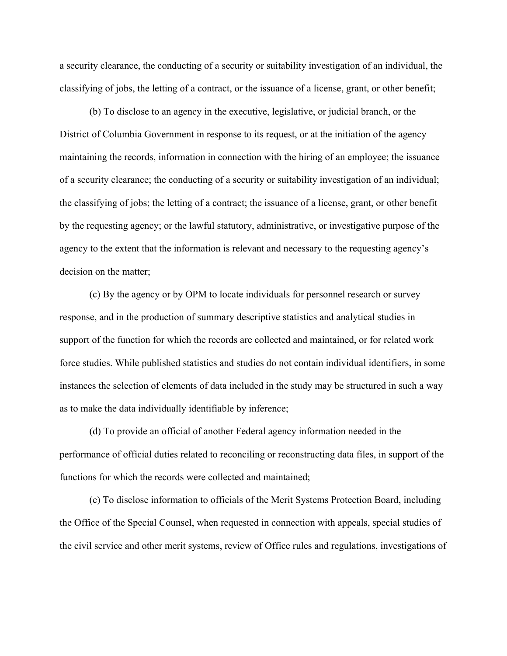a security clearance, the conducting of a security or suitability investigation of an individual, the classifying of jobs, the letting of a contract, or the issuance of a license, grant, or other benefit;

(b) To disclose to an agency in the executive, legislative, or judicial branch, or the District of Columbia Government in response to its request, or at the initiation of the agency maintaining the records, information in connection with the hiring of an employee; the issuance of a security clearance; the conducting of a security or suitability investigation of an individual; the classifying of jobs; the letting of a contract; the issuance of a license, grant, or other benefit by the requesting agency; or the lawful statutory, administrative, or investigative purpose of the agency to the extent that the information is relevant and necessary to the requesting agency's decision on the matter;

(c) By the agency or by OPM to locate individuals for personnel research or survey response, and in the production of summary descriptive statistics and analytical studies in support of the function for which the records are collected and maintained, or for related work force studies. While published statistics and studies do not contain individual identifiers, in some instances the selection of elements of data included in the study may be structured in such a way as to make the data individually identifiable by inference;

(d) To provide an official of another Federal agency information needed in the performance of official duties related to reconciling or reconstructing data files, in support of the functions for which the records were collected and maintained;

(e) To disclose information to officials of the Merit Systems Protection Board, including the Office of the Special Counsel, when requested in connection with appeals, special studies of the civil service and other merit systems, review of Office rules and regulations, investigations of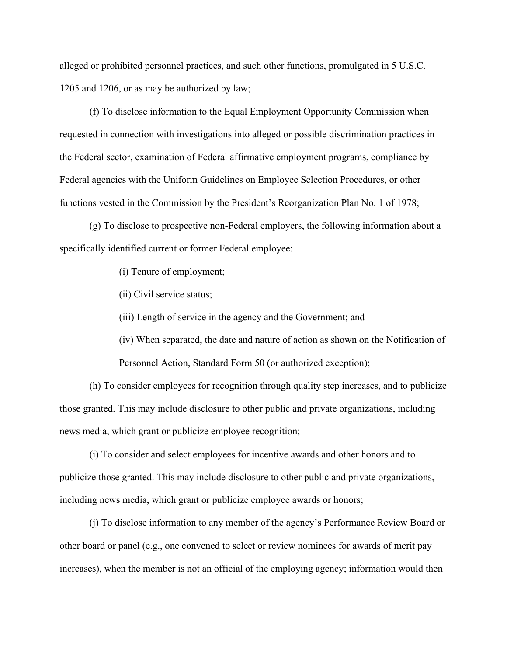alleged or prohibited personnel practices, and such other functions, promulgated in 5 U.S.C. 1205 and 1206, or as may be authorized by law;

(f) To disclose information to the Equal Employment Opportunity Commission when requested in connection with investigations into alleged or possible discrimination practices in the Federal sector, examination of Federal affirmative employment programs, compliance by Federal agencies with the Uniform Guidelines on Employee Selection Procedures, or other functions vested in the Commission by the President's Reorganization Plan No. 1 of 1978;

(g) To disclose to prospective non-Federal employers, the following information about a specifically identified current or former Federal employee:

(i) Tenure of employment;

(ii) Civil service status;

(iii) Length of service in the agency and the Government; and

(iv) When separated, the date and nature of action as shown on the Notification of Personnel Action, Standard Form 50 (or authorized exception);

(h) To consider employees for recognition through quality step increases, and to publicize those granted. This may include disclosure to other public and private organizations, including news media, which grant or publicize employee recognition;

(i) To consider and select employees for incentive awards and other honors and to publicize those granted. This may include disclosure to other public and private organizations, including news media, which grant or publicize employee awards or honors;

(j) To disclose information to any member of the agency's Performance Review Board or other board or panel (e.g., one convened to select or review nominees for awards of merit pay increases), when the member is not an official of the employing agency; information would then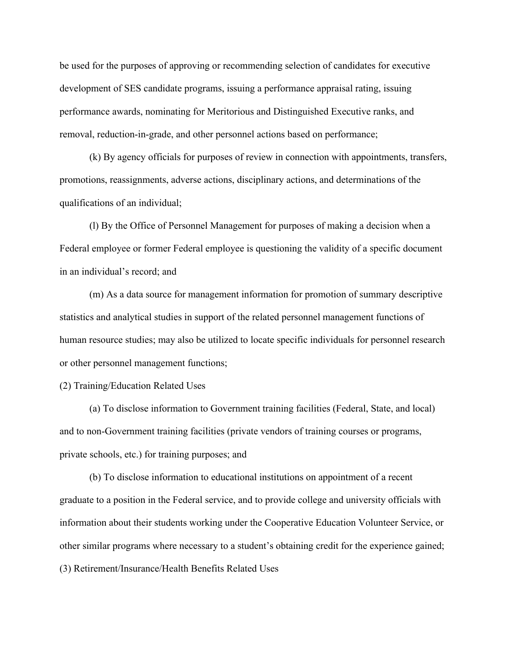be used for the purposes of approving or recommending selection of candidates for executive development of SES candidate programs, issuing a performance appraisal rating, issuing performance awards, nominating for Meritorious and Distinguished Executive ranks, and removal, reduction-in-grade, and other personnel actions based on performance;

(k) By agency officials for purposes of review in connection with appointments, transfers, promotions, reassignments, adverse actions, disciplinary actions, and determinations of the qualifications of an individual;

(l) By the Office of Personnel Management for purposes of making a decision when a Federal employee or former Federal employee is questioning the validity of a specific document in an individual's record; and

(m) As a data source for management information for promotion of summary descriptive statistics and analytical studies in support of the related personnel management functions of human resource studies; may also be utilized to locate specific individuals for personnel research or other personnel management functions;

(2) Training/Education Related Uses

(a) To disclose information to Government training facilities (Federal, State, and local) and to non-Government training facilities (private vendors of training courses or programs, private schools, etc.) for training purposes; and

(b) To disclose information to educational institutions on appointment of a recent graduate to a position in the Federal service, and to provide college and university officials with information about their students working under the Cooperative Education Volunteer Service, or other similar programs where necessary to a student's obtaining credit for the experience gained; (3) Retirement/Insurance/Health Benefits Related Uses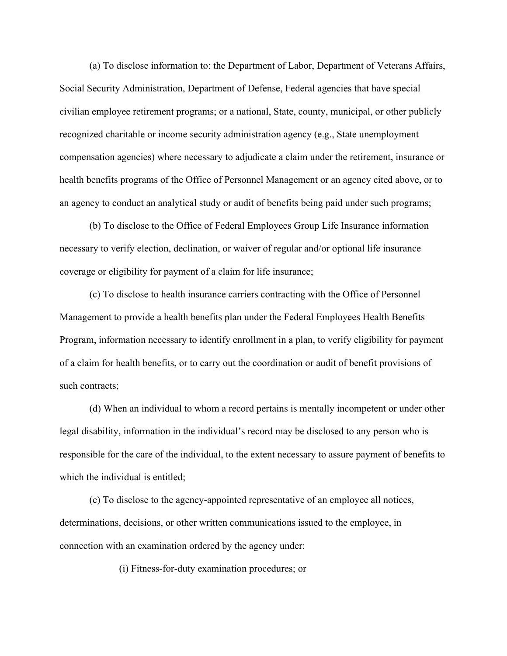(a) To disclose information to: the Department of Labor, Department of Veterans Affairs, Social Security Administration, Department of Defense, Federal agencies that have special civilian employee retirement programs; or a national, State, county, municipal, or other publicly recognized charitable or income security administration agency (e.g., State unemployment compensation agencies) where necessary to adjudicate a claim under the retirement, insurance or health benefits programs of the Office of Personnel Management or an agency cited above, or to an agency to conduct an analytical study or audit of benefits being paid under such programs;

(b) To disclose to the Office of Federal Employees Group Life Insurance information necessary to verify election, declination, or waiver of regular and/or optional life insurance coverage or eligibility for payment of a claim for life insurance;

(c) To disclose to health insurance carriers contracting with the Office of Personnel Management to provide a health benefits plan under the Federal Employees Health Benefits Program, information necessary to identify enrollment in a plan, to verify eligibility for payment of a claim for health benefits, or to carry out the coordination or audit of benefit provisions of such contracts;

(d) When an individual to whom a record pertains is mentally incompetent or under other legal disability, information in the individual's record may be disclosed to any person who is responsible for the care of the individual, to the extent necessary to assure payment of benefits to which the individual is entitled;

(e) To disclose to the agency-appointed representative of an employee all notices, determinations, decisions, or other written communications issued to the employee, in connection with an examination ordered by the agency under:

(i) Fitness-for-duty examination procedures; or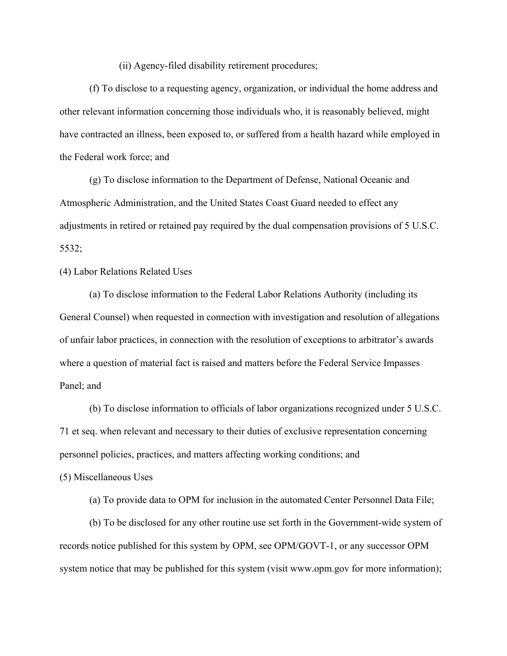(ii) Agency-filed disability retirement procedures;

(f) To disclose to a requesting agency, organization, or individual the home address and other relevant information concerning those individuals who, it is reasonably believed, might have contracted an illness, been exposed to, or suffered from a health hazard while employed in the Federal work force; and

(g) To disclose information to the Department of Defense, National Oceanic and Atmospheric Administration, and the United States Coast Guard needed to effect any adjustments in retired or retained pay required by the dual compensation provisions of 5 U.S.C. 5532;

(4) Labor Relations Related Uses

(a) To disclose information to the Federal Labor Relations Authority (including its General Counsel) when requested in connection with investigation and resolution of allegations of unfair labor practices, in connection with the resolution of exceptions to arbitrator's awards where a question of material fact is raised and matters before the Federal Service Impasses Panel; and

(b) To disclose information to officials of labor organizations recognized under 5 U.S.C. 71 et seq. when relevant and necessary to their duties of exclusive representation concerning personnel policies, practices, and matters affecting working conditions; and

(5) Miscellaneous Uses

(a) To provide data to OPM for inclusion in the automated Center Personnel Data File;

(b) To be disclosed for any other routine use set forth in the Government-wide system of records notice published for this system by OPM, see OPM/GOVT-1, or any successor OPM system notice that may be published for this system (visit <www.opm.gov>for more information);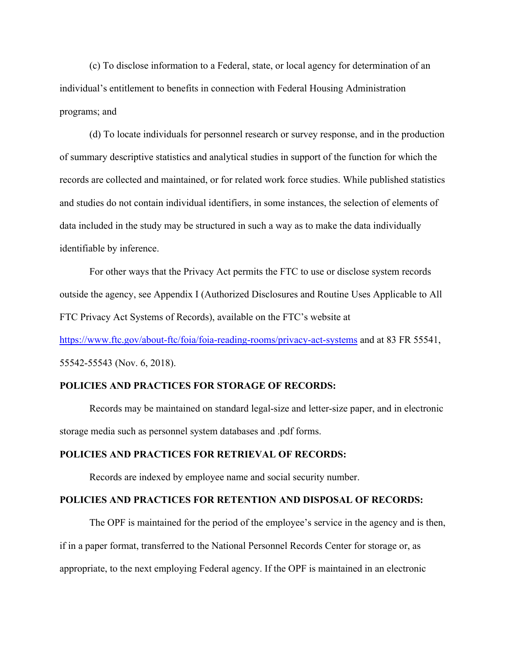(c) To disclose information to a Federal, state, or local agency for determination of an individual's entitlement to benefits in connection with Federal Housing Administration programs; and

(d) To locate individuals for personnel research or survey response, and in the production of summary descriptive statistics and analytical studies in support of the function for which the records are collected and maintained, or for related work force studies. While published statistics and studies do not contain individual identifiers, in some instances, the selection of elements of data included in the study may be structured in such a way as to make the data individually identifiable by inference.

For other ways that the Privacy Act permits the FTC to use or disclose system records outside the agency, see Appendix I (Authorized Disclosures and Routine Uses Applicable to All FTC Privacy Act Systems of Records), available on the FTC's website at

<https://www.ftc.gov/about-ftc/foia/foia-reading-rooms/privacy-act-systems>and at 83 FR 55541, 55542-55543 (Nov. 6, 2018).

#### **POLICIES AND PRACTICES FOR STORAGE OF RECORDS:**

Records may be maintained on standard legal-size and letter-size paper, and in electronic storage media such as personnel system databases and .pdf forms.

#### **POLICIES AND PRACTICES FOR RETRIEVAL OF RECORDS:**

Records are indexed by employee name and social security number.

#### **POLICIES AND PRACTICES FOR RETENTION AND DISPOSAL OF RECORDS:**

The OPF is maintained for the period of the employee's service in the agency and is then, if in a paper format, transferred to the National Personnel Records Center for storage or, as appropriate, to the next employing Federal agency. If the OPF is maintained in an electronic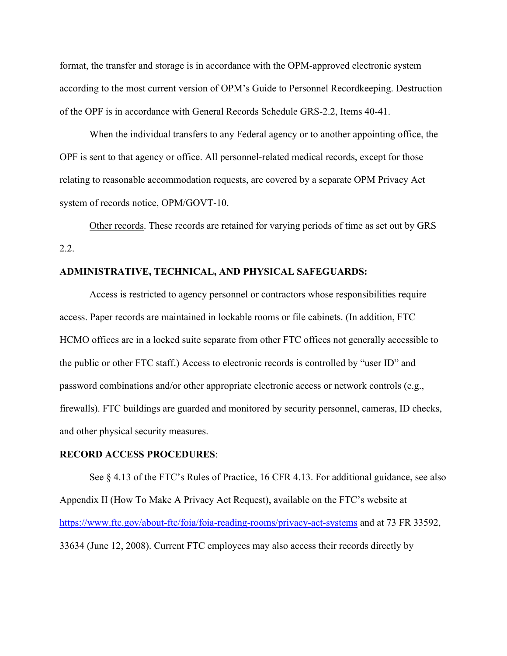format, the transfer and storage is in accordance with the OPM-approved electronic system according to the most current version of OPM's Guide to Personnel Recordkeeping. Destruction of the OPF is in accordance with General Records Schedule GRS-2.2, Items 40-41.

When the individual transfers to any Federal agency or to another appointing office, the OPF is sent to that agency or office. All personnel-related medical records, except for those relating to reasonable accommodation requests, are covered by a separate OPM Privacy Act system of records notice, OPM/GOVT-10.

Other records. These records are retained for varying periods of time as set out by GRS 2.2.

# **ADMINISTRATIVE, TECHNICAL, AND PHYSICAL SAFEGUARDS:**

Access is restricted to agency personnel or contractors whose responsibilities require access. Paper records are maintained in lockable rooms or file cabinets. (In addition, FTC HCMO offices are in a locked suite separate from other FTC offices not generally accessible to the public or other FTC staff.) Access to electronic records is controlled by "user ID" and password combinations and/or other appropriate electronic access or network controls (e.g., firewalls). FTC buildings are guarded and monitored by security personnel, cameras, ID checks, and other physical security measures.

#### **RECORD ACCESS PROCEDURES**:

See  $\S 4.13$  of the FTC's Rules of Practice, 16 CFR 4.13. For additional guidance, see also Appendix II (How To Make A Privacy Act Request), available on the FTC's website at <https://www.ftc.gov/about-ftc/foia/foia-reading-rooms/privacy-act-systems>and at 73 FR 33592, 33634 (June 12, 2008). Current FTC employees may also access their records directly by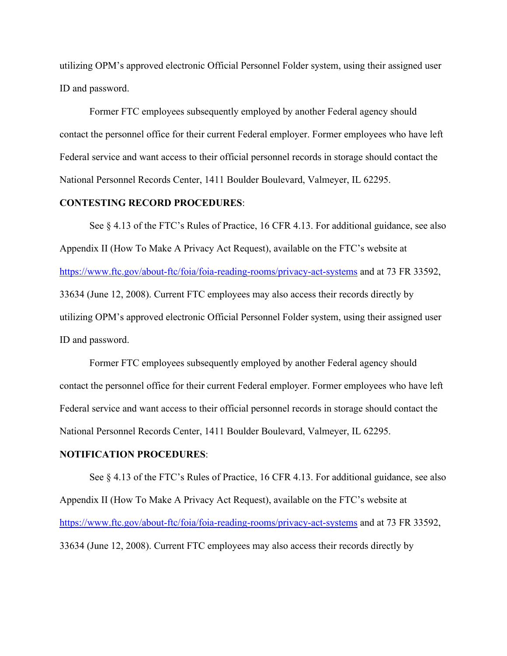utilizing OPM's approved electronic Official Personnel Folder system, using their assigned user ID and password.

Former FTC employees subsequently employed by another Federal agency should contact the personnel office for their current Federal employer. Former employees who have left Federal service and want access to their official personnel records in storage should contact the National Personnel Records Center, 1411 Boulder Boulevard, Valmeyer, IL 62295.

## **CONTESTING RECORD PROCEDURES**:

See § 4.13 of the FTC's Rules of Practice, 16 CFR 4.13. For additional guidance, see also Appendix II (How To Make A Privacy Act Request), available on the FTC's website at <https://www.ftc.gov/about-ftc/foia/foia-reading-rooms/privacy-act-systems>and at 73 FR 33592, 33634 (June 12, 2008). Current FTC employees may also access their records directly by utilizing OPM's approved electronic Official Personnel Folder system, using their assigned user ID and password.

Former FTC employees subsequently employed by another Federal agency should contact the personnel office for their current Federal employer. Former employees who have left Federal service and want access to their official personnel records in storage should contact the National Personnel Records Center, 1411 Boulder Boulevard, Valmeyer, IL 62295.

#### **NOTIFICATION PROCEDURES**:

See § 4.13 of the FTC's Rules of Practice, 16 CFR 4.13. For additional guidance, see also Appendix II (How To Make A Privacy Act Request), available on the FTC's website at <https://www.ftc.gov/about-ftc/foia/foia-reading-rooms/privacy-act-systems>and at 73 FR 33592, 33634 (June 12, 2008). Current FTC employees may also access their records directly by